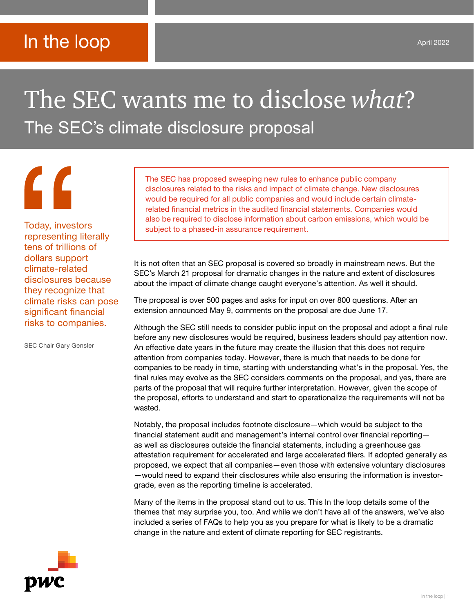# In the loop

# The SEC wants me to disclose *what*? The SEC's climate disclosure proposal

representing literally tens of trillions of dollars support climate-related disclosures because they recognize that climate risks can pose significant financial risks to companies.

**"** 

SEC Chair Gary Gensler

The SEC has proposed sweeping new rules to enhance public company disclosures related to the risks and impact of climate change. New disclosures would be required for all public companies and would include certain climaterelated financial metrics in the audited financial statements. Companies would also be required to disclose information about carbon emissions, which would be Today, investors subject to a phased-in assurance requirement.

> It is not often that an SEC proposal is covered so broadly in mainstream news. But the SEC's March 21 proposal for dramatic changes in the nature and extent of disclosures about the impact of climate change caught everyone's attention. As well it should.

The proposal is over 500 pages and asks for input on over 800 questions. After an extension announced May 9, comments on the proposal are due June 17.

Although the SEC still needs to consider public input on the proposal and adopt a final rule before any new disclosures would be required, business leaders should pay attention now. An effective date years in the future may create the illusion that this does not require attention from companies today. However, there is much that needs to be done for companies to be ready in time, starting with understanding what's in the proposal. Yes, the final rules may evolve as the SEC considers comments on the proposal, and yes, there are parts of the proposal that will require further interpretation. However, given the scope of the proposal, efforts to understand and start to operationalize the requirements will not be wasted.

Notably, the proposal includes footnote disclosure—which would be subject to the financial statement audit and management's internal control over financial reporting as well as disclosures outside the financial statements, including a greenhouse gas attestation requirement for accelerated and large accelerated filers. If adopted generally as proposed, we expect that all companies—even those with extensive voluntary disclosures —would need to expand their disclosures while also ensuring the information is investorgrade, even as the reporting timeline is accelerated.

Many of the items in the proposal stand out to us. This In the loop details some of the themes that may surprise you, too. And while we don't have all of the answers, we've also included a series of FAQs to help you as you prepare for what is likely to be a dramatic change in the nature and extent of climate reporting for SEC registrants.

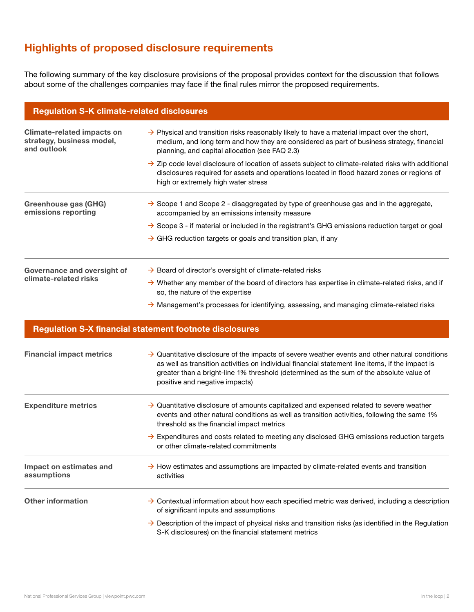# Highlights of proposed disclosure requirements

The following summary of the key disclosure provisions of the proposal provides context for the discussion that follows about some of the challenges companies may face if the final rules mirror the proposed requirements.

| <b>Regulation S-K climate-related disclosures</b>                             |                                                                                                                                                                                                                                                        |  |  |  |
|-------------------------------------------------------------------------------|--------------------------------------------------------------------------------------------------------------------------------------------------------------------------------------------------------------------------------------------------------|--|--|--|
| <b>Climate-related impacts on</b><br>strategy, business model,<br>and outlook | $\rightarrow$ Physical and transition risks reasonably likely to have a material impact over the short,<br>medium, and long term and how they are considered as part of business strategy, financial<br>planning, and capital allocation (see FAQ 2.3) |  |  |  |
|                                                                               | $\rightarrow$ Zip code level disclosure of location of assets subject to climate-related risks with additional<br>disclosures required for assets and operations located in flood hazard zones or regions of<br>high or extremely high water stress    |  |  |  |
| Greenhouse gas (GHG)<br>emissions reporting                                   | $\rightarrow$ Scope 1 and Scope 2 - disaggregated by type of greenhouse gas and in the aggregate,<br>accompanied by an emissions intensity measure                                                                                                     |  |  |  |
|                                                                               | $\rightarrow$ Scope 3 - if material or included in the registrant's GHG emissions reduction target or goal                                                                                                                                             |  |  |  |
|                                                                               | $\rightarrow$ GHG reduction targets or goals and transition plan, if any                                                                                                                                                                               |  |  |  |
| Governance and oversight of<br>climate-related risks                          | $\rightarrow$ Board of director's oversight of climate-related risks                                                                                                                                                                                   |  |  |  |
|                                                                               | $\rightarrow$ Whether any member of the board of directors has expertise in climate-related risks, and if<br>so, the nature of the expertise                                                                                                           |  |  |  |
|                                                                               | $\rightarrow$ Management's processes for identifying, assessing, and managing climate-related risks                                                                                                                                                    |  |  |  |
|                                                                               | <b>Regulation S-X financial statement footnote disclosures</b>                                                                                                                                                                                         |  |  |  |

| <b>Financial impact metrics</b>        | $\rightarrow$ Quantitative disclosure of the impacts of severe weather events and other natural conditions<br>as well as transition activities on individual financial statement line items, if the impact is<br>greater than a bright-line 1% threshold (determined as the sum of the absolute value of<br>positive and negative impacts) |  |  |
|----------------------------------------|--------------------------------------------------------------------------------------------------------------------------------------------------------------------------------------------------------------------------------------------------------------------------------------------------------------------------------------------|--|--|
| <b>Expenditure metrics</b>             | $\rightarrow$ Quantitative disclosure of amounts capitalized and expensed related to severe weather<br>events and other natural conditions as well as transition activities, following the same 1%<br>threshold as the financial impact metrics                                                                                            |  |  |
|                                        | $\rightarrow$ Expenditures and costs related to meeting any disclosed GHG emissions reduction targets<br>or other climate-related commitments                                                                                                                                                                                              |  |  |
| Impact on estimates and<br>assumptions | $\rightarrow$ How estimates and assumptions are impacted by climate-related events and transition<br>activities                                                                                                                                                                                                                            |  |  |
| <b>Other information</b>               | $\rightarrow$ Contextual information about how each specified metric was derived, including a description<br>of significant inputs and assumptions                                                                                                                                                                                         |  |  |
|                                        | $\rightarrow$ Description of the impact of physical risks and transition risks (as identified in the Regulation<br>S-K disclosures) on the financial statement metrics                                                                                                                                                                     |  |  |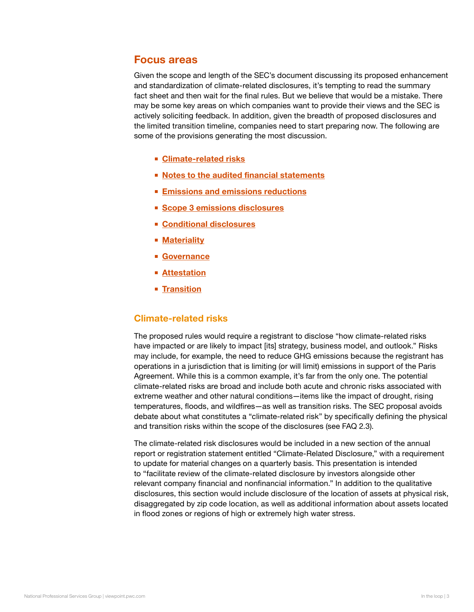# Focus areas

Given the scope and length of the SEC's document discussing its proposed enhancement and standardization of climate-related disclosures, it's tempting to read the summary fact sheet and then wait for the final rules. But we believe that would be a mistake. There may be some key areas on which companies want to provide their views and the SEC is actively soliciting feedback. In addition, given the breadth of proposed disclosures and the limited transition timeline, companies need to start preparing now. The following are some of the provisions generating the most discussion.

- Climate-related risks
- [Notes to the audited financial statements](#page-3-0)
- **[Emissions and emissions reductions](#page-3-0)**
- [Scope 3 emissions disclosures](#page-3-0)
- [Conditional disclosures](#page-4-0)
- **[Materiality](#page-4-0)**
- [Governance](#page-5-0)
- [Attestation](#page-5-0)
- **[Transition](#page-6-0)**

# Climate-related risks

The proposed rules would require a registrant to disclose "how climate-related risks have impacted or are likely to impact [its] strategy, business model, and outlook." Risks may include, for example, the need to reduce GHG emissions because the registrant has operations in a jurisdiction that is limiting (or will limit) emissions in support of the Paris Agreement. While this is a common example, it's far from the only one. The potential climate-related risks are broad and include both acute and chronic risks associated with extreme weather and other natural conditions—items like the impact of drought, rising temperatures, floods, and wildfires—as well as transition risks. The SEC proposal avoids debate about what constitutes a "climate-related risk" by specifically defining the physical and transition risks within the scope of the disclosures (see FAQ 2.3).

The climate-related risk disclosures would be included in a new section of the annual report or registration statement entitled "Climate-Related Disclosure," with a requirement to update for material changes on a quarterly basis. This presentation is intended to "facilitate review of the climate-related disclosure by investors alongside other relevant company financial and nonfinancial information." In addition to the qualitative disclosures, this section would include disclosure of the location of assets at physical risk, disaggregated by zip code location, as well as additional information about assets located in flood zones or regions of high or extremely high water stress.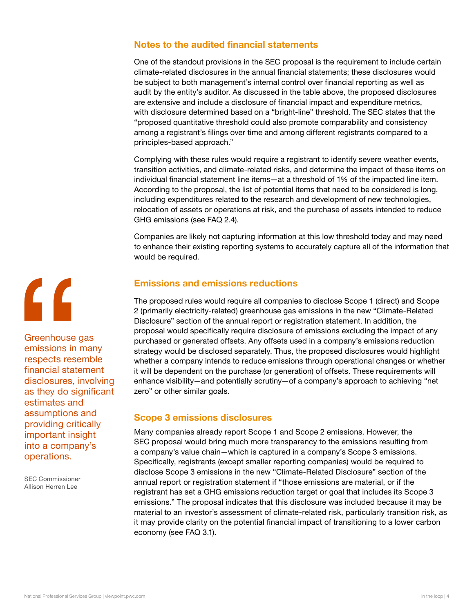# <span id="page-3-0"></span>Notes to the audited financial statements

One of the standout provisions in the SEC proposal is the requirement to include certain climate-related disclosures in the annual financial statements; these disclosures would be subject to both management's internal control over financial reporting as well as audit by the entity's auditor. As discussed in the table above, the proposed disclosures are extensive and include a disclosure of financial impact and expenditure metrics, with disclosure determined based on a "bright-line" threshold. The SEC states that the "proposed quantitative threshold could also promote comparability and consistency among a registrant's filings over time and among different registrants compared to a principles-based approach."

Complying with these rules would require a registrant to identify severe weather events, transition activities, and climate-related risks, and determine the impact of these items on individual financial statement line items—at a threshold of 1% of the impacted line item. According to the proposal, the list of potential items that need to be considered is long, including expenditures related to the research and development of new technologies, relocation of assets or operations at risk, and the purchase of assets intended to reduce GHG emissions (see FAQ 2.4).

Companies are likely not capturing information at this low threshold today and may need to enhance their existing reporting systems to accurately capture all of the information that would be required.

# Emissions and emissions reductions

The proposed rules would require all companies to disclose Scope 1 (direct) and Scope 2 (primarily electricity-related) greenhouse gas emissions in the new "Climate-Related Disclosure" section of the annual report or registration statement. In addition, the proposal would specifically require disclosure of emissions excluding the impact of any purchased or generated offsets. Any offsets used in a company's emissions reduction strategy would be disclosed separately. Thus, the proposed disclosures would highlight whether a company intends to reduce emissions through operational changes or whether it will be dependent on the purchase (or generation) of offsets. These requirements will enhance visibility—and potentially scrutiny—of a company's approach to achieving "net zero" or other similar goals.

# Scope 3 emissions disclosures

Many companies already report Scope 1 and Scope 2 emissions. However, the SEC proposal would bring much more transparency to the emissions resulting from a company's value chain—which is captured in a company's Scope 3 emissions. Specifically, registrants (except smaller reporting companies) would be required to disclose Scope 3 emissions in the new "Climate-Related Disclosure" section of the annual report or registration statement if "those emissions are material, or if the registrant has set a GHG emissions reduction target or goal that includes its Scope 3 emissions." The proposal indicates that this disclosure was included because it may be material to an investor's assessment of climate-related risk, particularly transition risk, as it may provide clarity on the potential financial impact of transitioning to a lower carbon economy (see FAQ 3.1).

# $\overline{\mathsf{G}}$ Greenhouse gas emissions in many respects resemble financial statement

disclosures, involving as they do significant estimates and assumptions and providing critically important insight into a company's operations.

SEC Commissioner Allison Herren Lee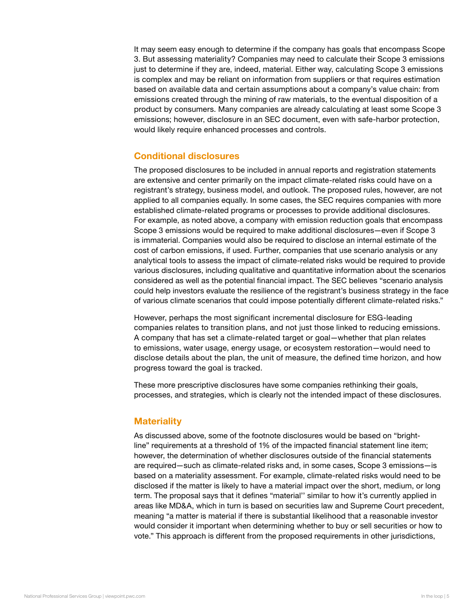<span id="page-4-0"></span>It may seem easy enough to determine if the company has goals that encompass Scope 3. But assessing materiality? Companies may need to calculate their Scope 3 emissions just to determine if they are, indeed, material. Either way, calculating Scope 3 emissions is complex and may be reliant on information from suppliers or that requires estimation based on available data and certain assumptions about a company's value chain: from emissions created through the mining of raw materials, to the eventual disposition of a product by consumers. Many companies are already calculating at least some Scope 3 emissions; however, disclosure in an SEC document, even with safe-harbor protection, would likely require enhanced processes and controls.

## Conditional disclosures

The proposed disclosures to be included in annual reports and registration statements are extensive and center primarily on the impact climate-related risks could have on a registrant's strategy, business model, and outlook. The proposed rules, however, are not applied to all companies equally. In some cases, the SEC requires companies with more established climate-related programs or processes to provide additional disclosures. For example, as noted above, a company with emission reduction goals that encompass Scope 3 emissions would be required to make additional disclosures—even if Scope 3 is immaterial. Companies would also be required to disclose an internal estimate of the cost of carbon emissions, if used. Further, companies that use scenario analysis or any analytical tools to assess the impact of climate-related risks would be required to provide various disclosures, including qualitative and quantitative information about the scenarios considered as well as the potential financial impact. The SEC believes "scenario analysis could help investors evaluate the resilience of the registrant's business strategy in the face of various climate scenarios that could impose potentially different climate-related risks."

However, perhaps the most significant incremental disclosure for ESG-leading companies relates to transition plans, and not just those linked to reducing emissions. A company that has set a climate-related target or goal—whether that plan relates to emissions, water usage, energy usage, or ecosystem restoration—would need to disclose details about the plan, the unit of measure, the defined time horizon, and how progress toward the goal is tracked.

These more prescriptive disclosures have some companies rethinking their goals, processes, and strategies, which is clearly not the intended impact of these disclosures.

#### **Materiality**

As discussed above, some of the footnote disclosures would be based on "brightline" requirements at a threshold of 1% of the impacted financial statement line item; however, the determination of whether disclosures outside of the financial statements are required—such as climate-related risks and, in some cases, Scope 3 emissions—is based on a materiality assessment. For example, climate-related risks would need to be disclosed if the matter is likely to have a material impact over the short, medium, or long term. The proposal says that it defines "material'' similar to how it's currently applied in areas like MD&A, which in turn is based on securities law and Supreme Court precedent, meaning "a matter is material if there is substantial likelihood that a reasonable investor would consider it important when determining whether to buy or sell securities or how to vote." This approach is different from the proposed requirements in other jurisdictions,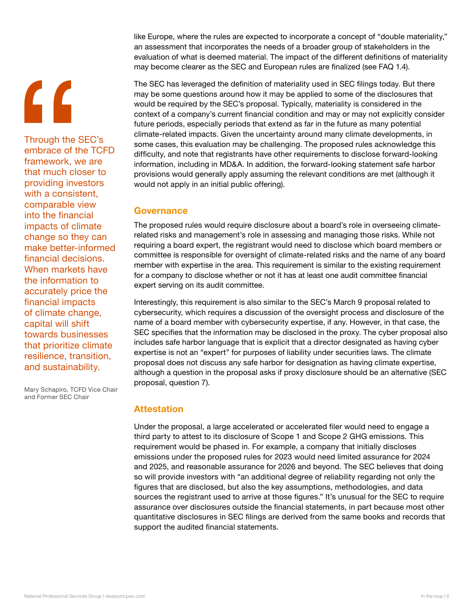# <span id="page-5-0"></span>"

Through the SEC's embrace of the TCFD framework, we are that much closer to providing investors with a consistent, comparable view into the financial impacts of climate change so they can make better-informed financial decisions. When markets have the information to accurately price the financial impacts of climate change, capital will shift towards businesses that prioritize climate resilience, transition, and sustainability.

Mary Schapiro, TCFD Vice Chair and Former SEC Chair

like Europe, where the rules are expected to incorporate a concept of "double materiality," an assessment that incorporates the needs of a broader group of stakeholders in the evaluation of what is deemed material. The impact of the different definitions of materiality may become clearer as the SEC and European rules are finalized (see FAQ 1.4).

The SEC has leveraged the definition of materiality used in SEC filings today. But there may be some questions around how it may be applied to some of the disclosures that would be required by the SEC's proposal. Typically, materiality is considered in the context of a company's current financial condition and may or may not explicitly consider future periods, especially periods that extend as far in the future as many potential climate-related impacts. Given the uncertainty around many climate developments, in some cases, this evaluation may be challenging. The proposed rules acknowledge this difficulty, and note that registrants have other requirements to disclose forward-looking information, including in MD&A. In addition, the forward-looking statement safe harbor provisions would generally apply assuming the relevant conditions are met (although it would not apply in an initial public offering).

# **Governance**

The proposed rules would require disclosure about a board's role in overseeing climaterelated risks and management's role in assessing and managing those risks. While not requiring a board expert, the registrant would need to disclose which board members or committee is responsible for oversight of climate-related risks and the name of any board member with expertise in the area. This requirement is similar to the existing requirement for a company to disclose whether or not it has at least one audit committee financial expert serving on its audit committee.

Interestingly, this requirement is also similar to the SEC's March 9 proposal related to cybersecurity, which requires a discussion of the oversight process and disclosure of the name of a board member with cybersecurity expertise, if any. However, in that case, the SEC specifies that the information may be disclosed in the proxy. The cyber proposal also includes safe harbor language that is explicit that a director designated as having cyber expertise is not an "expert" for purposes of liability under securities laws. The climate proposal does not discuss any safe harbor for designation as having climate expertise, although a question in the proposal asks if proxy disclosure should be an alternative (SEC proposal, question 7).

# **Attestation**

Under the proposal, a large accelerated or accelerated filer would need to engage a third party to attest to its disclosure of Scope 1 and Scope 2 GHG emissions. This requirement would be phased in. For example, a company that initially discloses emissions under the proposed rules for 2023 would need limited assurance for 2024 and 2025, and reasonable assurance for 2026 and beyond. The SEC believes that doing so will provide investors with "an additional degree of reliability regarding not only the figures that are disclosed, but also the key assumptions, methodologies, and data sources the registrant used to arrive at those figures." It's unusual for the SEC to require assurance over disclosures outside the financial statements, in part because most other quantitative disclosures in SEC filings are derived from the same books and records that support the audited financial statements.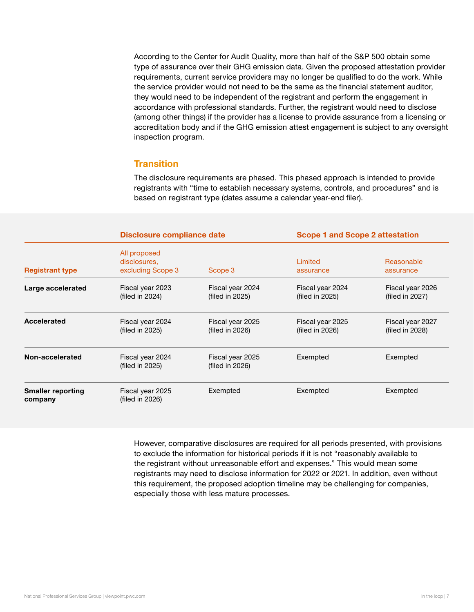<span id="page-6-0"></span>According to the Center for Audit Quality, more than half of the S&P 500 obtain some type of assurance over their GHG emission data. Given the proposed attestation provider requirements, current service providers may no longer be qualified to do the work. While the service provider would not need to be the same as the financial statement auditor, they would need to be independent of the registrant and perform the engagement in accordance with professional standards. Further, the registrant would need to disclose (among other things) if the provider has a license to provide assurance from a licensing or accreditation body and if the GHG emission attest engagement is subject to any oversight inspection program.

# **Transition**

The disclosure requirements are phased. This phased approach is intended to provide registrants with "time to establish necessary systems, controls, and procedures" and is based on registrant type (dates assume a calendar year-end filer).

|                                     | <b>Disclosure compliance date</b>                 |                                        | <b>Scope 1 and Scope 2 attestation</b> |                                     |
|-------------------------------------|---------------------------------------------------|----------------------------------------|----------------------------------------|-------------------------------------|
| <b>Registrant type</b>              | All proposed<br>disclosures.<br>excluding Scope 3 | Scope 3                                | Limited<br>assurance                   | Reasonable<br>assurance             |
| Large accelerated                   | Fiscal year 2023<br>(filed in 2024)               | Fiscal year 2024<br>(filed in 2025)    | Fiscal year 2024<br>(filed in 2025)    | Fiscal year 2026<br>(filed in 2027) |
| Accelerated                         | Fiscal year 2024<br>(filed in 2025)               | Fiscal year 2025<br>(filed in $2026$ ) | Fiscal year 2025<br>(filed in $2026$ ) | Fiscal year 2027<br>(filed in 2028) |
| Non-accelerated                     | Fiscal year 2024<br>(filed in 2025)               | Fiscal year 2025<br>(filed in 2026)    | Exempted                               | Exempted                            |
| <b>Smaller reporting</b><br>company | Fiscal year 2025<br>(filed in 2026)               | Exempted                               | Exempted                               | Exempted                            |

However, comparative disclosures are required for all periods presented, with provisions to exclude the information for historical periods if it is not "reasonably available to the registrant without unreasonable effort and expenses." This would mean some registrants may need to disclose information for 2022 or 2021. In addition, even without this requirement, the proposed adoption timeline may be challenging for companies, especially those with less mature processes.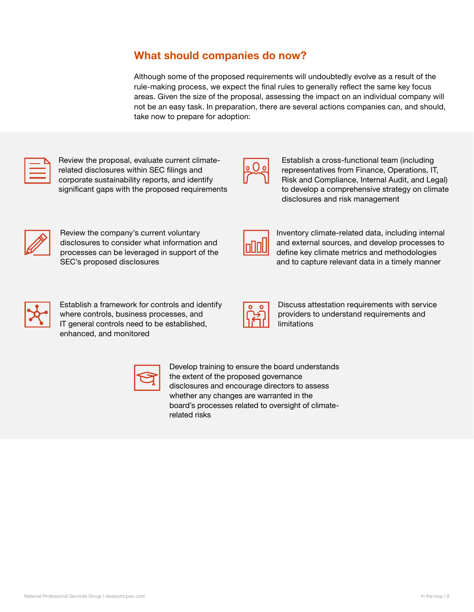# What should companies do now?

Although some of the proposed requirements will undoubtedly evolve as a result of the rule-making process, we expect the final rules to generally reflect the same key focus areas. Given the size of the proposal, assessing the impact on an individual company will not be an easy task. In preparation, there are several actions companies can, and should, take now to prepare for adoption:



Review the proposal, evaluate current climaterelated disclosures within SEC filings and corporate sustainability reports, and identify significant gaps with the proposed requirements



Establish a cross-functional team (including representatives from Finance, Operations, IT, Risk and Compliance, Internal Audit, and Legal) to develop a comprehensive strategy on climate disclosures and risk management



Review the company's current voluntary disclosures to consider what information and processes can be leveraged in support of the SEC's proposed disclosures



Inventory climate-related data, including internal and external sources, and develop processes to define key climate metrics and methodologies and to capture relevant data in a timely manner



Establish a framework for controls and identify where controls, business processes, and IT general controls need to be established, enhanced, and monitored



Discuss attestation requirements with service providers to understand requirements and limitations



Develop training to ensure the board understands the extent of the proposed governance disclosures and encourage directors to assess whether any changes are warranted in the board's processes related to oversight of climaterelated risks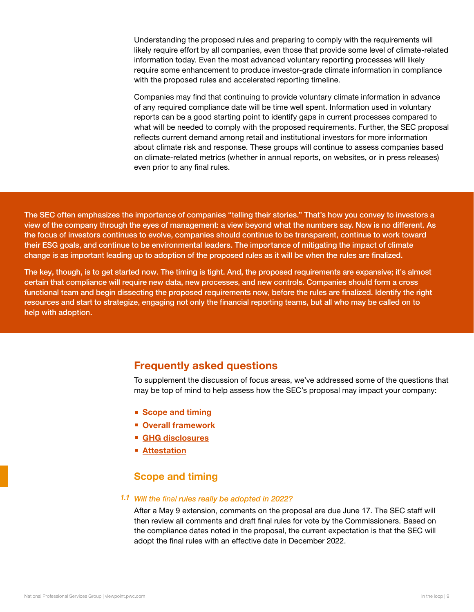Understanding the proposed rules and preparing to comply with the requirements will likely require effort by all companies, even those that provide some level of climate-related information today. Even the most advanced voluntary reporting processes will likely require some enhancement to produce investor-grade climate information in compliance with the proposed rules and accelerated reporting timeline.

Companies may find that continuing to provide voluntary climate information in advance of any required compliance date will be time well spent. Information used in voluntary reports can be a good starting point to identify gaps in current processes compared to what will be needed to comply with the proposed requirements. Further, the SEC proposal reflects current demand among retail and institutional investors for more information about climate risk and response. These groups will continue to assess companies based on climate-related metrics (whether in annual reports, on websites, or in press releases) even prior to any final rules.

The SEC often emphasizes the importance of companies "telling their stories." That's how you convey to investors a view of the company through the eyes of management: a view beyond what the numbers say. Now is no different. As the focus of investors continues to evolve, companies should continue to be transparent, continue to work toward their ESG goals, and continue to be environmental leaders. The importance of mitigating the impact of climate change is as important leading up to adoption of the proposed rules as it will be when the rules are finalized.

The key, though, is to get started now. The timing is tight. And, the proposed requirements are expansive; it's almost certain that compliance will require new data, new processes**,** and new controls. Companies should form a cross functional team and begin dissecting the proposed requirements now, before the rules are finalized. Identify the right resources and start to strategize, engaging not only the financial reporting teams, but all who may be called on to help with adoption.

# Frequently asked questions

To supplement the discussion of focus areas, we've addressed some of the questions that may be top of mind to help assess how the SEC's proposal may impact your company:

- Scope and timing
- **[Overall framework](#page-11-0)**
- [GHG disclosures](#page-14-0)
- **[Attestation](#page-15-0)**

# Scope and timing

#### Will the *final* rules really be adopted in 2022? *1.1*

After a May 9 extension, comments on the proposal are due June 17. The SEC staff will then review all comments and draft final rules for vote by the Commissioners. Based on the compliance dates noted in the proposal, the current expectation is that the SEC will adopt the final rules with an effective date in December 2022.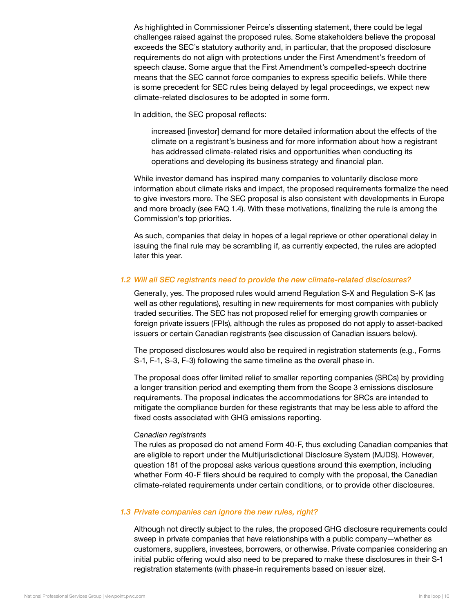As highlighted in Commissioner Peirce's dissenting statement, there could be legal challenges raised against the proposed rules. Some stakeholders believe the proposal exceeds the SEC's statutory authority and, in particular, that the proposed disclosure requirements do not align with protections under the First Amendment's freedom of speech clause. Some argue that the First Amendment's compelled-speech doctrine means that the SEC cannot force companies to express specific beliefs. While there is some precedent for SEC rules being delayed by legal proceedings, we expect new climate-related disclosures to be adopted in some form.

In addition, the SEC proposal reflects:

increased [investor] demand for more detailed information about the effects of the climate on a registrant's business and for more information about how a registrant has addressed climate-related risks and opportunities when conducting its operations and developing its business strategy and financial plan.

While investor demand has inspired many companies to voluntarily disclose more information about climate risks and impact, the proposed requirements formalize the need to give investors more. The SEC proposal is also consistent with developments in Europe and more broadly (see FAQ 1.4). With these motivations, finalizing the rule is among the Commission's top priorities.

As such, companies that delay in hopes of a legal reprieve or other operational delay in issuing the final rule may be scrambling if, as currently expected, the rules are adopted later this year.

#### Will all SEC registrants need to provide the new climate-related disclosures? 1.2

Generally, yes. The proposed rules would amend Regulation S-X and Regulation S-K (as well as other regulations), resulting in new requirements for most companies with publicly traded securities. The SEC has not proposed relief for emerging growth companies or foreign private issuers (FPIs), although the rules as proposed do not apply to asset-backed issuers or certain Canadian registrants (see discussion of Canadian issuers below).

The proposed disclosures would also be required in registration statements (e.g., Forms S-1, F-1, S-3, F-3) following the same timeline as the overall phase in.

The proposal does offer limited relief to smaller reporting companies (SRCs) by providing a longer transition period and exempting them from the Scope 3 emissions disclosure requirements. The proposal indicates the accommodations for SRCs are intended to mitigate the compliance burden for these registrants that may be less able to afford the fixed costs associated with GHG emissions reporting.

#### *Canadian registrants*

The rules as proposed do not amend Form 40-F, thus excluding Canadian companies that are eligible to report under the Multijurisdictional Disclosure System (MJDS). However, question 181 of the proposal asks various questions around this exemption, including whether Form 40-F filers should be required to comply with the proposal, the Canadian climate-related requirements under certain conditions, or to provide other disclosures.

#### 1.3 Private companies can ignore the new rules, right?

Although not directly subject to the rules, the proposed GHG disclosure requirements could sweep in private companies that have relationships with a public company—whether as customers, suppliers, investees, borrowers, or otherwise. Private companies considering an initial public offering would also need to be prepared to make these disclosures in their S-1 registration statements (with phase-in requirements based on issuer size).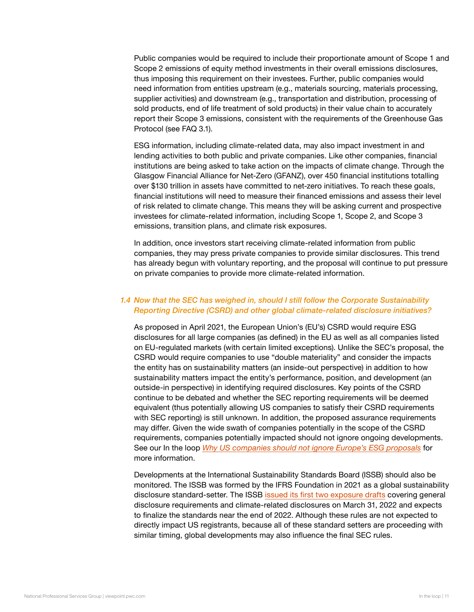Public companies would be required to include their proportionate amount of Scope 1 and Scope 2 emissions of equity method investments in their overall emissions disclosures, thus imposing this requirement on their investees. Further, public companies would need information from entities upstream (e.g., materials sourcing, materials processing, supplier activities) and downstream (e.g., transportation and distribution, processing of sold products, end of life treatment of sold products) in their value chain to accurately report their Scope 3 emissions, consistent with the requirements of the Greenhouse Gas Protocol (see FAQ 3.1).

ESG information, including climate-related data, may also impact investment in and lending activities to both public and private companies. Like other companies, financial institutions are being asked to take action on the impacts of climate change. Through the Glasgow Financial Alliance for Net-Zero (GFANZ), over 450 financial institutions totalling over \$130 trillion in assets have committed to net-zero initiatives. To reach these goals, financial institutions will need to measure their financed emissions and assess their level of risk related to climate change. This means they will be asking current and prospective investees for climate-related information, including Scope 1, Scope 2, and Scope 3 emissions, transition plans, and climate risk exposures.

In addition, once investors start receiving climate-related information from public companies, they may press private companies to provide similar disclosures. This trend has already begun with voluntary reporting, and the proposal will continue to put pressure on private companies to provide more climate-related information.

## 1.4 Now that the SEC has weighed in, should I still follow the Corporate Sustainability Reporting Directive (CSRD) and other global climate-related disclosure initiatives?

As proposed in April 2021, the European Union's (EU's) CSRD would require ESG disclosures for all large companies (as defined) in the EU as well as all companies listed on EU-regulated markets (with certain limited exceptions). Unlike the SEC's proposal, the CSRD would require companies to use "double materiality" and consider the impacts the entity has on sustainability matters (an inside-out perspective) in addition to how sustainability matters impact the entity's performance, position, and development (an outside-in perspective) in identifying required disclosures. Key points of the CSRD continue to be debated and whether the SEC reporting requirements will be deemed equivalent (thus potentially allowing US companies to satisfy their CSRD requirements with SEC reporting) is still unknown. In addition, the proposed assurance requirements may differ. Given the wide swath of companies potentially in the scope of the CSRD requirements, companies potentially impacted should not ignore ongoing developments. See our In the loop *[Why US companies should not ignore Europe's ESG proposals](https://viewpoint.pwc.com/dt/us/en/pwc/in_the_loop/in_the_loop_US/uscoshouldnotignoreesgprop.html)* for more information.

Developments at the International Sustainability Standards Board (ISSB) should also be monitored. The ISSB was formed by the IFRS Foundation in 2021 as a global sustainability disclosure standard-setter. The ISSB [issued its first two exposure drafts](https://viewpoint.pwc.com/dt/gx/en/pwc/in_briefs/in_briefs_INT/in_briefs_INT/The-ISSB-sustainability-exposure-.html) covering general disclosure requirements and climate-related disclosures on March 31, 2022 and expects to finalize the standards near the end of 2022. Although these rules are not expected to directly impact US registrants, because all of these standard setters are proceeding with similar timing, global developments may also influence the final SEC rules.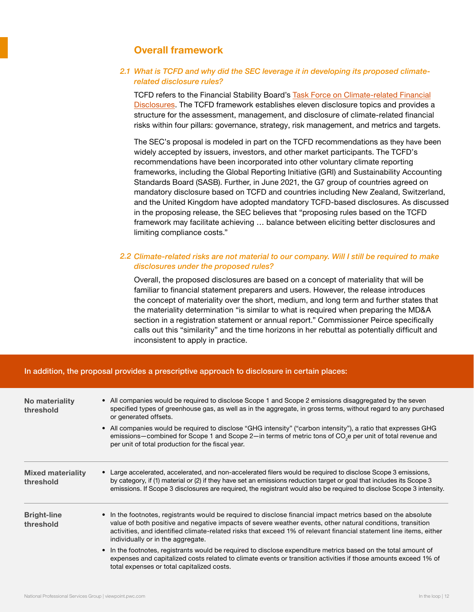# Overall framework

## <span id="page-11-0"></span>What is TCFD and why did the SEC leverage it in developing its proposed climate-2.1 related disclosure rules?

TCFD refers to the Financial Stability Board's [Task Force on Climate-related Financial](https://www.fsb-tcfd.org/)  [Disclosures.](https://www.fsb-tcfd.org/) The TCFD framework establishes eleven disclosure topics and provides a structure for the assessment, management, and disclosure of climate-related financial risks within four pillars: governance, strategy, risk management, and metrics and targets.

The SEC's proposal is modeled in part on the TCFD recommendations as they have been widely accepted by issuers, investors, and other market participants. The TCFD's recommendations have been incorporated into other voluntary climate reporting frameworks, including the Global Reporting Initiative (GRI) and Sustainability Accounting Standards Board (SASB). Further, in June 2021, the G7 group of countries agreed on mandatory disclosure based on TCFD and countries including New Zealand, Switzerland, and the United Kingdom have adopted mandatory TCFD-based disclosures. As discussed in the proposing release, the SEC believes that "proposing rules based on the TCFD framework may facilitate achieving … balance between eliciting better disclosures and limiting compliance costs."

## 2.2 Climate-related risks are not material to our company. Will I still be required to make disclosures under the proposed rules?

Overall, the proposed disclosures are based on a concept of materiality that will be familiar to financial statement preparers and users. However, the release introduces the concept of materiality over the short, medium, and long term and further states that the materiality determination "is similar to what is required when preparing the MD&A section in a registration statement or annual report." Commissioner Peirce specifically calls out this "similarity" and the time horizons in her rebuttal as potentially difficult and inconsistent to apply in practice.

#### No materiality threshold Bright-line threshold Mixed materiality threshold • All companies would be required to disclose Scope 1 and Scope 2 emissions disaggregated by the seven specified types of greenhouse gas, as well as in the aggregate, in gross terms, without regard to any purchased or generated offsets. • All companies would be required to disclose "GHG intensity" ("carbon intensity"), a ratio that expresses GHG emissions—combined for Scope 1 and Scope 2—in terms of metric tons of CO<sub>2</sub>e per unit of total revenue and per unit of total production for the fiscal year. • In the footnotes, registrants would be required to disclose financial impact metrics based on the absolute value of both positive and negative impacts of severe weather events, other natural conditions, transition activities, and identified climate-related risks that exceed 1% of relevant financial statement line items, either individually or in the aggregate. • In the footnotes, registrants would be required to disclose expenditure metrics based on the total amount of expenses and capitalized costs related to climate events or transition activities if those amounts exceed 1% of total expenses or total capitalized costs. • Large accelerated, accelerated, and non-accelerated filers would be required to disclose Scope 3 emissions, by category, if (1) material or (2) if they have set an emissions reduction target or goal that includes its Scope 3 emissions. If Scope 3 disclosures are required, the registrant would also be required to disclose Scope 3 intensity.

#### In addition, the proposal provides a prescriptive approach to disclosure in certain places: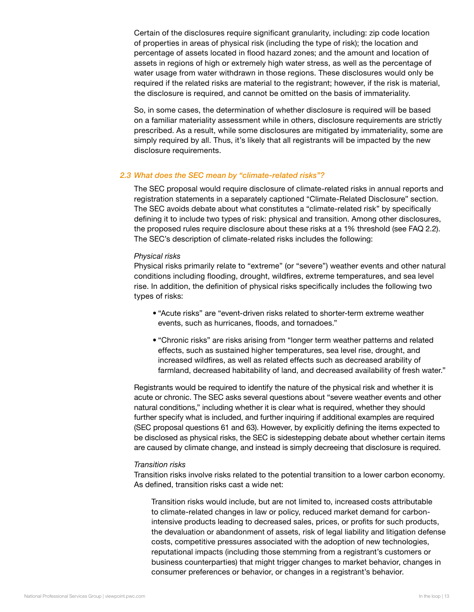Certain of the disclosures require significant granularity, including: zip code location of properties in areas of physical risk (including the type of risk); the location and percentage of assets located in flood hazard zones; and the amount and location of assets in regions of high or extremely high water stress, as well as the percentage of water usage from water withdrawn in those regions. These disclosures would only be required if the related risks are material to the registrant; however, if the risk is material, the disclosure is required, and cannot be omitted on the basis of immateriality.

So, in some cases, the determination of whether disclosure is required will be based on a familiar materiality assessment while in others, disclosure requirements are strictly prescribed. As a result, while some disclosures are mitigated by immateriality, some are simply required by all. Thus, it's likely that all registrants will be impacted by the new disclosure requirements.

#### 2.3 What does the SEC mean by "climate-related risks"?

The SEC proposal would require disclosure of climate-related risks in annual reports and registration statements in a separately captioned "Climate-Related Disclosure" section. The SEC avoids debate about what constitutes a "climate-related risk" by specifically defining it to include two types of risk: physical and transition. Among other disclosures, the proposed rules require disclosure about these risks at a 1% threshold (see FAQ 2.2). The SEC's description of climate-related risks includes the following:

#### *Physical risks*

Physical risks primarily relate to "extreme" (or "severe") weather events and other natural conditions including flooding, drought, wildfires, extreme temperatures, and sea level rise. In addition, the definition of physical risks specifically includes the following two types of risks:

- "Acute risks" are "event-driven risks related to shorter-term extreme weather events, such as hurricanes, floods, and tornadoes."
- "Chronic risks" are risks arising from "longer term weather patterns and related effects, such as sustained higher temperatures, sea level rise, drought, and increased wildfires, as well as related effects such as decreased arability of farmland, decreased habitability of land, and decreased availability of fresh water."

Registrants would be required to identify the nature of the physical risk and whether it is acute or chronic. The SEC asks several questions about "severe weather events and other natural conditions," including whether it is clear what is required, whether they should further specify what is included, and further inquiring if additional examples are required (SEC proposal questions 61 and 63). However, by explicitly defining the items expected to be disclosed as physical risks, the SEC is sidestepping debate about whether certain items are caused by climate change, and instead is simply decreeing that disclosure is required.

#### *Transition risks*

Transition risks involve risks related to the potential transition to a lower carbon economy. As defined, transition risks cast a wide net:

Transition risks would include, but are not limited to, increased costs attributable to climate-related changes in law or policy, reduced market demand for carbonintensive products leading to decreased sales, prices, or profits for such products, the devaluation or abandonment of assets, risk of legal liability and litigation defense costs, competitive pressures associated with the adoption of new technologies, reputational impacts (including those stemming from a registrant's customers or business counterparties) that might trigger changes to market behavior, changes in consumer preferences or behavior, or changes in a registrant's behavior.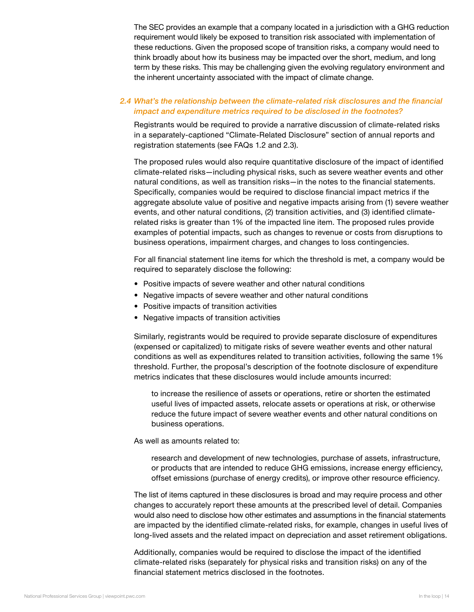The SEC provides an example that a company located in a jurisdiction with a GHG reduction requirement would likely be exposed to transition risk associated with implementation of these reductions. Given the proposed scope of transition risks, a company would need to think broadly about how its business may be impacted over the short, medium, and long term by these risks. This may be challenging given the evolving regulatory environment and the inherent uncertainty associated with the impact of climate change.

#### What's the relationship between the climate-related risk disclosures and the financial 2.4impact and expenditure metrics required to be disclosed in the footnotes?

Registrants would be required to provide a narrative discussion of climate-related risks in a separately-captioned "Climate-Related Disclosure" section of annual reports and registration statements (see FAQs 1.2 and 2.3).

The proposed rules would also require quantitative disclosure of the impact of identified climate-related risks—including physical risks, such as severe weather events and other natural conditions, as well as transition risks—in the notes to the financial statements. Specifically, companies would be required to disclose financial impact metrics if the aggregate absolute value of positive and negative impacts arising from (1) severe weather events, and other natural conditions, (2) transition activities, and (3) identified climaterelated risks is greater than 1% of the impacted line item. The proposed rules provide examples of potential impacts, such as changes to revenue or costs from disruptions to business operations, impairment charges, and changes to loss contingencies.

For all financial statement line items for which the threshold is met, a company would be required to separately disclose the following:

- Positive impacts of severe weather and other natural conditions
- Negative impacts of severe weather and other natural conditions
- Positive impacts of transition activities
- Negative impacts of transition activities

Similarly, registrants would be required to provide separate disclosure of expenditures (expensed or capitalized) to mitigate risks of severe weather events and other natural conditions as well as expenditures related to transition activities, following the same 1% threshold. Further, the proposal's description of the footnote disclosure of expenditure metrics indicates that these disclosures would include amounts incurred:

to increase the resilience of assets or operations, retire or shorten the estimated useful lives of impacted assets, relocate assets or operations at risk, or otherwise reduce the future impact of severe weather events and other natural conditions on business operations.

#### As well as amounts related to:

research and development of new technologies, purchase of assets, infrastructure, or products that are intended to reduce GHG emissions, increase energy efficiency, offset emissions (purchase of energy credits), or improve other resource efficiency.

The list of items captured in these disclosures is broad and may require process and other changes to accurately report these amounts at the prescribed level of detail. Companies would also need to disclose how other estimates and assumptions in the financial statements are impacted by the identified climate-related risks, for example, changes in useful lives of long-lived assets and the related impact on depreciation and asset retirement obligations.

Additionally, companies would be required to disclose the impact of the identified climate-related risks (separately for physical risks and transition risks) on any of the financial statement metrics disclosed in the footnotes.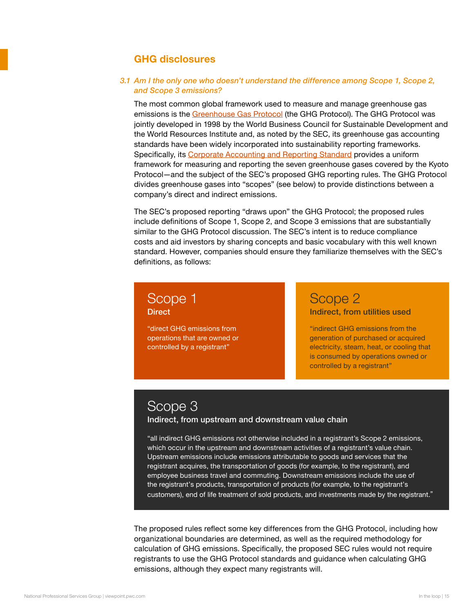# GHG disclosures

#### <span id="page-14-0"></span>3.1 Am I the only one who doesn't understand the difference among Scope 1, Scope 2, and Scope 3 emissions?

The most common global framework used to measure and manage greenhouse gas emissions is the [Greenhouse Gas Protocol](https://ghgprotocol.org/about-us) (the GHG Protocol). The GHG Protocol was jointly developed in 1998 by the World Business Council for Sustainable Development and the World Resources Institute and, as noted by the SEC, its greenhouse gas accounting standards have been widely incorporated into sustainability reporting frameworks. Specifically, its [Corporate Accounting and Reporting Standard](https://ghgprotocol.org/corporate-standard) provides a uniform framework for measuring and reporting the seven greenhouse gases covered by the Kyoto Protocol—and the subject of the SEC's proposed GHG reporting rules. The GHG Protocol divides greenhouse gases into "scopes" (see below) to provide distinctions between a company's direct and indirect emissions.

The SEC's proposed reporting "draws upon" the GHG Protocol; the proposed rules include definitions of Scope 1, Scope 2, and Scope 3 emissions that are substantially similar to the GHG Protocol discussion. The SEC's intent is to reduce compliance costs and aid investors by sharing concepts and basic vocabulary with this well known standard. However, companies should ensure they familiarize themselves with the SEC's definitions, as follows:

# Scope 1 **Direct**

"direct GHG emissions from operations that are owned or controlled by a registrant"

# Scope 2

#### Indirect, from utilities used

"indirect GHG emissions from the generation of purchased or acquired electricity, steam, heat, or cooling that is consumed by operations owned or controlled by a registrant"

# Scope 3

#### Indirect, from upstream and downstream value chain

"all indirect GHG emissions not otherwise included in a registrant's Scope 2 emissions, which occur in the upstream and downstream activities of a registrant's value chain. Upstream emissions include emissions attributable to goods and services that the registrant acquires, the transportation of goods (for example, to the registrant), and employee business travel and commuting. Downstream emissions include the use of the registrant's products, transportation of products (for example, to the registrant's customers), end of life treatment of sold products, and investments made by the registrant."

The proposed rules reflect some key differences from the GHG Protocol, including how organizational boundaries are determined, as well as the required methodology for calculation of GHG emissions. Specifically, the proposed SEC rules would not require registrants to use the GHG Protocol standards and guidance when calculating GHG emissions, although they expect many registrants will.